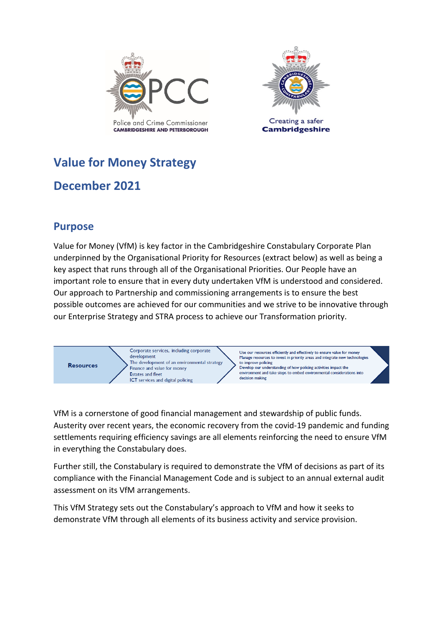



# **Value for Money Strategy**

## **December 2021**

## **Purpose**

Value for Money (VfM) is key factor in the Cambridgeshire Constabulary Corporate Plan underpinned by the Organisational Priority for Resources (extract below) as well as being a key aspect that runs through all of the Organisational Priorities. Our People have an important role to ensure that in every duty undertaken VfM is understood and considered. Our approach to Partnership and commissioning arrangements is to ensure the best possible outcomes are achieved for our communities and we strive to be innovative through our Enterprise Strategy and STRA process to achieve our Transformation priority.



VfM is a cornerstone of good financial management and stewardship of public funds. Austerity over recent years, the economic recovery from the covid-19 pandemic and funding settlements requiring efficiency savings are all elements reinforcing the need to ensure VfM in everything the Constabulary does.

Further still, the Constabulary is required to demonstrate the VfM of decisions as part of its compliance with the Financial Management Code and is subject to an annual external audit assessment on its VfM arrangements.

This VfM Strategy sets out the Constabulary's approach to VfM and how it seeks to demonstrate VfM through all elements of its business activity and service provision.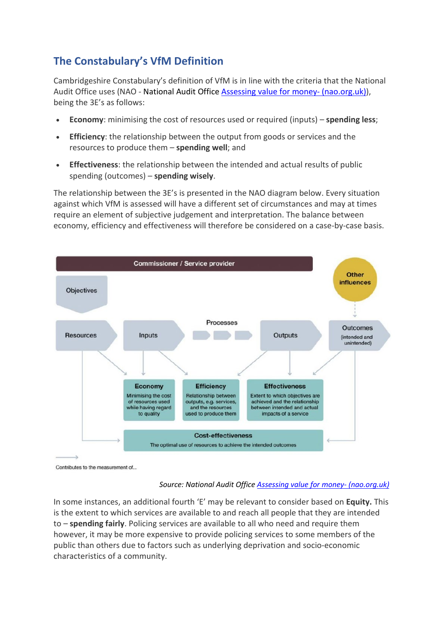## **The Constabulary's VfM Definition**

Cambridgeshire Constabulary's definition of VfM is in line with the criteria that the National Audit Office uses (NAO - National Audit Office **Assessing value for money- (nao.org.uk)**), being the 3E's as follows:

- **Economy**: minimising the cost of resources used or required (inputs) **spending less**;
- **Efficiency**: the relationship between the output from goods or services and the resources to produce them – **spending well**; and
- **Effectiveness**: the relationship between the intended and actual results of public spending (outcomes) – **spending wisely**.

The relationship between the 3E's is presented in the NAO diagram below. Every situation against which VfM is assessed will have a different set of circumstances and may at times require an element of subjective judgement and interpretation. The balance between economy, efficiency and effectiveness will therefore be considered on a case-by-case basis.



Contributes to the measurement of...

#### *Source: National Audit Offic[e Assessing value for money-](https://www.nao.org.uk/successful-commissioning/general-principles/value-for-money/assessing-value-for-money/) (nao.org.uk)*

In some instances, an additional fourth 'E' may be relevant to consider based on **Equity.** This is the extent to which services are available to and reach all people that they are intended to – **spending fairly**. Policing services are available to all who need and require them however, it may be more expensive to provide policing services to some members of the public than others due to factors such as underlying deprivation and socio-economic characteristics of a community.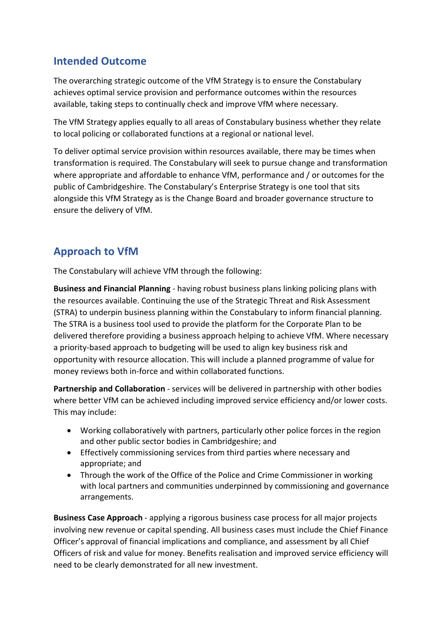## **Intended Outcome**

The overarching strategic outcome of the VfM Strategy is to ensure the Constabulary achieves optimal service provision and performance outcomes within the resources available, taking steps to continually check and improve VfM where necessary.

The VfM Strategy applies equally to all areas of Constabulary business whether they relate to local policing or collaborated functions at a regional or national level.

To deliver optimal service provision within resources available, there may be times when transformation is required. The Constabulary will seek to pursue change and transformation where appropriate and affordable to enhance VfM, performance and / or outcomes for the public of Cambridgeshire. The Constabulary's Enterprise Strategy is one tool that sits alongside this VfM Strategy as is the Change Board and broader governance structure to ensure the delivery of VfM.

## **Approach to VfM**

The Constabulary will achieve VfM through the following:

**Business and Financial Planning** - having robust business plans linking policing plans with the resources available. Continuing the use of the Strategic Threat and Risk Assessment (STRA) to underpin business planning within the Constabulary to inform financial planning. The STRA is a business tool used to provide the platform for the Corporate Plan to be delivered therefore providing a business approach helping to achieve VfM. Where necessary a priority-based approach to budgeting will be used to align key business risk and opportunity with resource allocation. This will include a planned programme of value for money reviews both in-force and within collaborated functions.

**Partnership and Collaboration** - services will be delivered in partnership with other bodies where better VfM can be achieved including improved service efficiency and/or lower costs. This may include:

- Working collaboratively with partners, particularly other police forces in the region and other public sector bodies in Cambridgeshire; and
- Effectively commissioning services from third parties where necessary and appropriate; and
- Through the work of the Office of the Police and Crime Commissioner in working with local partners and communities underpinned by commissioning and governance arrangements.

**Business Case Approach** - applying a rigorous business case process for all major projects involving new revenue or capital spending. All business cases must include the Chief Finance Officer's approval of financial implications and compliance, and assessment by all Chief Officers of risk and value for money. Benefits realisation and improved service efficiency will need to be clearly demonstrated for all new investment.